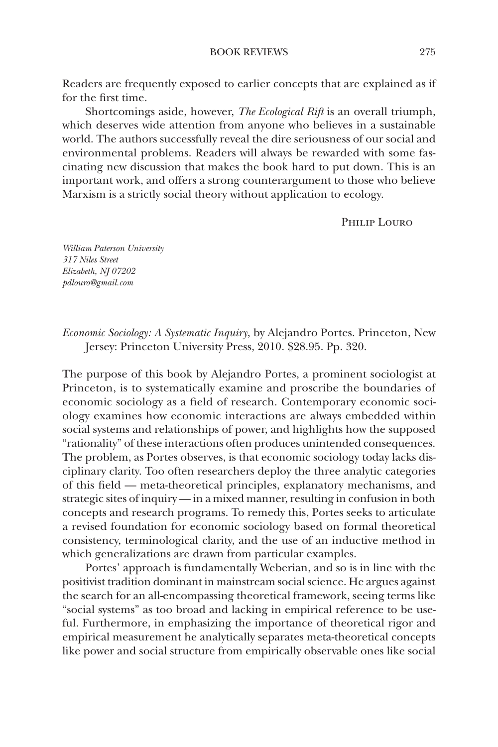Readers are frequently exposed to earlier concepts that are explained as if for the first time.

Shortcomings aside, however, *The Ecological Rift* is an overall triumph, which deserves wide attention from anyone who believes in a sustainable world. The authors successfully reveal the dire seriousness of our social and environmental problems. Readers will always be rewarded with some fascinating new discussion that makes the book hard to put down. This is an important work, and offers a strong counterargument to those who believe Marxism is a strictly social theory without application to ecology.

Philip Louro

*William Paterson University 317 Niles Street Elizabeth, NJ 07202 pdlouro@gmail.com*

*Economic Sociology: A Systematic Inquiry*, by Alejandro Portes. Princeton, New Jersey: Princeton University Press, 2010. \$28.95. Pp. 320.

The purpose of this book by Alejandro Portes, a prominent sociologist at Princeton, is to systematically examine and proscribe the boundaries of economic sociology as a field of research. Contemporary economic sociology examines how economic interactions are always embedded within social systems and relationships of power, and highlights how the supposed "rationality" of these interactions often produces unintended consequences. The problem, as Portes observes, is that economic sociology today lacks disciplinary clarity. Too often researchers deploy the three analytic categories of this field — meta-theoretical principles, explanatory mechanisms, and strategic sites of inquiry — in a mixed manner, resulting in confusion in both concepts and research programs. To remedy this, Portes seeks to articulate a revised foundation for economic sociology based on formal theoretical consistency, terminological clarity, and the use of an inductive method in which generalizations are drawn from particular examples.

Portes' approach is fundamentally Weberian, and so is in line with the positivist tradition dominant in mainstream social science. He argues against the search for an all-encompassing theoretical framework, seeing terms like "social systems" as too broad and lacking in empirical reference to be useful. Furthermore, in emphasizing the importance of theoretical rigor and empirical measurement he analytically separates meta-theoretical concepts like power and social structure from empirically observable ones like social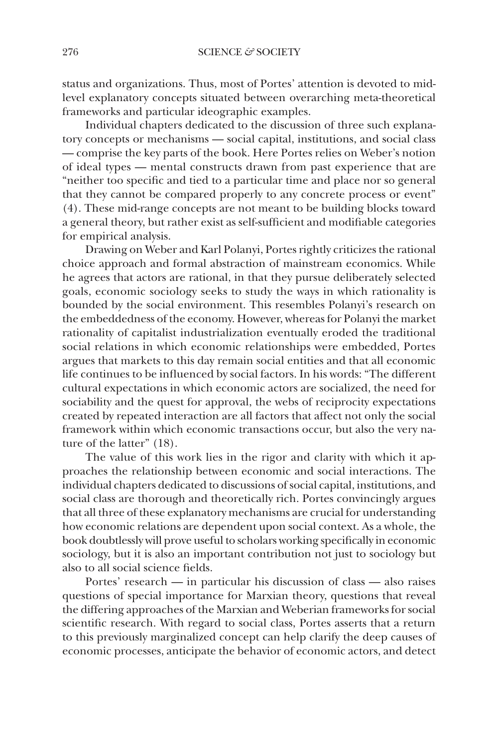status and organizations. Thus, most of Portes' attention is devoted to midlevel explanatory concepts situated between overarching meta-theoretical frameworks and particular ideographic examples.

Individual chapters dedicated to the discussion of three such explanatory concepts or mechanisms — social capital, institutions, and social class — comprise the key parts of the book. Here Portes relies on Weber's notion of ideal types — mental constructs drawn from past experience that are "neither too specific and tied to a particular time and place nor so general that they cannot be compared properly to any concrete process or event" (4). These mid-range concepts are not meant to be building blocks toward a general theory, but rather exist as self-sufficient and modifiable categories for empirical analysis.

Drawing on Weber and Karl Polanyi, Portes rightly criticizes the rational choice approach and formal abstraction of mainstream economics. While he agrees that actors are rational, in that they pursue deliberately selected goals, economic sociology seeks to study the ways in which rationality is bounded by the social environment. This resembles Polanyi's research on the embeddedness of the economy. However, whereas for Polanyi the market rationality of capitalist industrialization eventually eroded the traditional social relations in which economic relationships were embedded, Portes argues that markets to this day remain social entities and that all economic life continues to be influenced by social factors. In his words: "The different cultural expectations in which economic actors are socialized, the need for sociability and the quest for approval, the webs of reciprocity expectations created by repeated interaction are all factors that affect not only the social framework within which economic transactions occur, but also the very nature of the latter" (18).

The value of this work lies in the rigor and clarity with which it approaches the relationship between economic and social interactions. The individual chapters dedicated to discussions of social capital, institutions, and social class are thorough and theoretically rich. Portes convincingly argues that all three of these explanatory mechanisms are crucial for understanding how economic relations are dependent upon social context. As a whole, the book doubtlessly will prove useful to scholars working specifically in economic sociology, but it is also an important contribution not just to sociology but also to all social science fields.

Portes' research — in particular his discussion of class — also raises questions of special importance for Marxian theory, questions that reveal the differing approaches of the Marxian and Weberian frameworks for social scientific research. With regard to social class, Portes asserts that a return to this previously marginalized concept can help clarify the deep causes of economic processes, anticipate the behavior of economic actors, and detect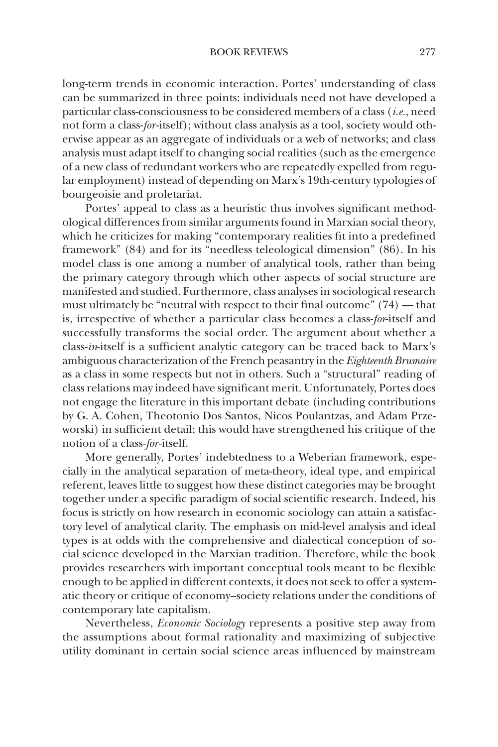long-term trends in economic interaction. Portes' understanding of class can be summarized in three points: individuals need not have developed a particular class-consciousness to be considered members of a class (*i.e.*, need not form a class-*for*-itself); without class analysis as a tool, society would otherwise appear as an aggregate of individuals or a web of networks; and class analysis must adapt itself to changing social realities (such as the emergence of a new class of redundant workers who are repeatedly expelled from regular employment) instead of depending on Marx's 19th-century typologies of bourgeoisie and proletariat.

Portes' appeal to class as a heuristic thus involves significant methodological differences from similar arguments found in Marxian social theory, which he criticizes for making "contemporary realities fit into a predefined framework" (84) and for its "needless teleological dimension" (86). In his model class is one among a number of analytical tools, rather than being the primary category through which other aspects of social structure are manifested and studied. Furthermore, class analyses in sociological research must ultimately be "neutral with respect to their final outcome" (74) — that is, irrespective of whether a particular class becomes a class-*for*-itself and successfully transforms the social order. The argument about whether a class-*in*-itself is a sufficient analytic category can be traced back to Marx's ambiguous characterization of the French peasantry in the *Eighteenth Brumaire* as a class in some respects but not in others. Such a "structural" reading of class relations may indeed have significant merit. Unfortunately, Portes does not engage the literature in this important debate (including contributions by G. A. Cohen, Theotonio Dos Santos, Nicos Poulantzas, and Adam Przeworski) in sufficient detail; this would have strengthened his critique of the notion of a class-*for*-itself.

More generally, Portes' indebtedness to a Weberian framework, especially in the analytical separation of meta-theory, ideal type, and empirical referent, leaves little to suggest how these distinct categories may be brought together under a specific paradigm of social scientific research. Indeed, his focus is strictly on how research in economic sociology can attain a satisfactory level of analytical clarity. The emphasis on mid-level analysis and ideal types is at odds with the comprehensive and dialectical conception of social science developed in the Marxian tradition. Therefore, while the book provides researchers with important conceptual tools meant to be flexible enough to be applied in different contexts, it does not seek to offer a systematic theory or critique of economy–society relations under the conditions of contemporary late capitalism.

Nevertheless, *Economic Sociology* represents a positive step away from the assumptions about formal rationality and maximizing of subjective utility dominant in certain social science areas influenced by mainstream